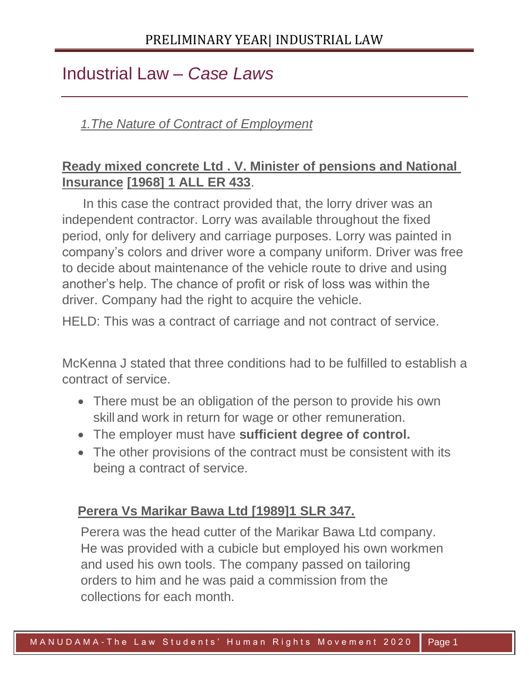# Industrial Law – *Case Laws*

### *1.The Nature of Contract of Employment*

# **Ready mixed concrete Ltd . V. Minister of pensions and National Insurance [1968] 1 ALL ER 433**.

In this case the contract provided that, the lorry driver was an independent contractor. Lorry was available throughout the fixed period, only for delivery and carriage purposes. Lorry was painted in company's colors and driver wore a company uniform. Driver was free to decide about maintenance of the vehicle route to drive and using another's help. The chance of profit or risk of loss was within the driver. Company had the right to acquire the vehicle.

HELD: This was a contract of carriage and not contract of service.

McKenna J stated that three conditions had to be fulfilled to establish a contract of service.

- There must be an obligation of the person to provide his own skill and work in return for wage or other remuneration.
- The employer must have **sufficient degree of control.**
- The other provisions of the contract must be consistent with its being a contract of service.

#### **Perera Vs Marikar Bawa Ltd [1989]1 SLR 347.**

Perera was the head cutter of the Marikar Bawa Ltd company. He was provided with a cubicle but employed his own workmen and used his own tools. The company passed on tailoring orders to him and he was paid a commission from the collections for each month.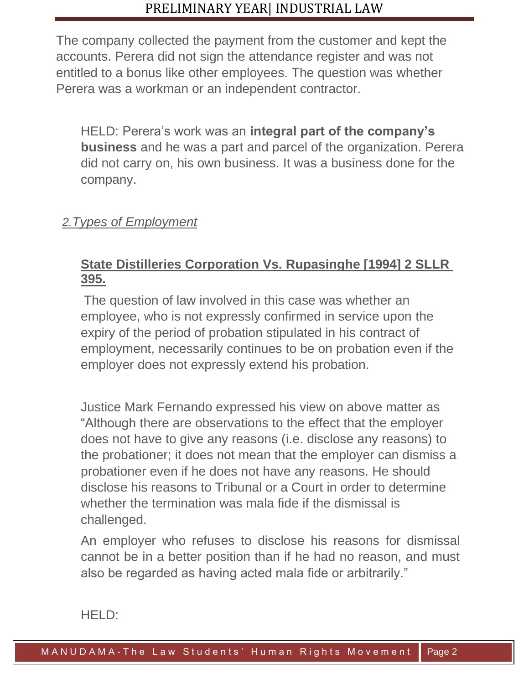The company collected the payment from the customer and kept the accounts. Perera did not sign the attendance register and was not entitled to a bonus like other employees. The question was whether Perera was a workman or an independent contractor.

HELD: Perera's work was an **integral part of the company's business** and he was a part and parcel of the organization. Perera did not carry on, his own business. It was a business done for the company.

### *2.Types of Employment*

### **State Distilleries Corporation Vs. Rupasinghe [1994] 2 SLLR 395.**

The question of law involved in this case was whether an employee, who is not expressly confirmed in service upon the expiry of the period of probation stipulated in his contract of employment, necessarily continues to be on probation even if the employer does not expressly extend his probation.

Justice Mark Fernando expressed his view on above matter as "Although there are observations to the effect that the employer does not have to give any reasons (i.e. disclose any reasons) to the probationer; it does not mean that the employer can dismiss a probationer even if he does not have any reasons. He should disclose his reasons to Tribunal or a Court in order to determine whether the termination was mala fide if the dismissal is challenged.

An employer who refuses to disclose his reasons for dismissal cannot be in a better position than if he had no reason, and must also be regarded as having acted mala fide or arbitrarily."

2 0 2 0

HELD: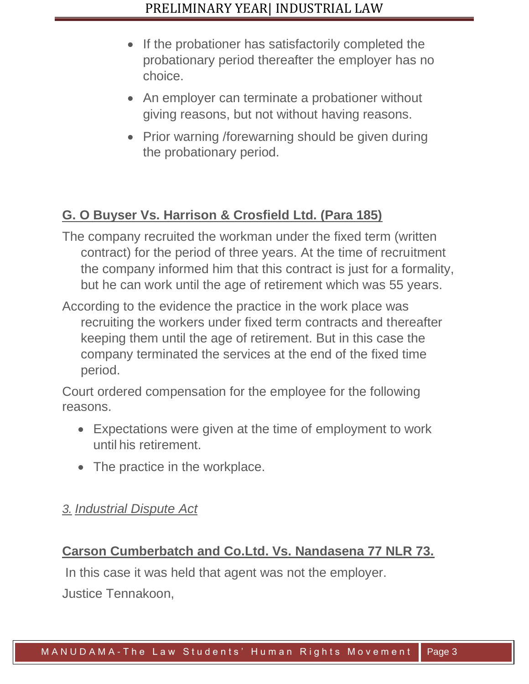- If the probationer has satisfactorily completed the probationary period thereafter the employer has no choice.
- An employer can terminate a probationer without giving reasons, but not without having reasons.
- Prior warning /forewarning should be given during the probationary period.

# **G. O Buyser Vs. Harrison & Crosfield Ltd. (Para 185)**

- The company recruited the workman under the fixed term (written contract) for the period of three years. At the time of recruitment the company informed him that this contract is just for a formality, but he can work until the age of retirement which was 55 years.
- According to the evidence the practice in the work place was recruiting the workers under fixed term contracts and thereafter keeping them until the age of retirement. But in this case the company terminated the services at the end of the fixed time period.

Court ordered compensation for the employee for the following reasons.

- Expectations were given at the time of employment to work until his retirement.
- The practice in the workplace.

#### *3. Industrial Dispute Act*

# **Carson Cumberbatch and Co.Ltd. Vs. Nandasena 77 NLR 73.**

In this case it was held that agent was not the employer.

Justice Tennakoon,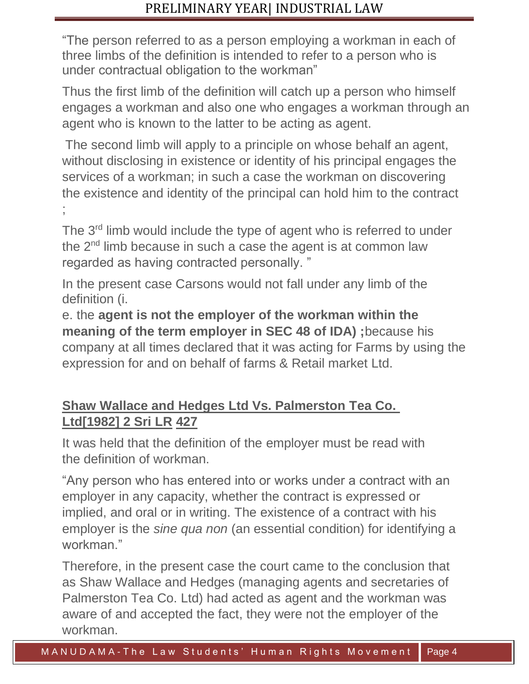"The person referred to as a person employing a workman in each of three limbs of the definition is intended to refer to a person who is under contractual obligation to the workman"

Thus the first limb of the definition will catch up a person who himself engages a workman and also one who engages a workman through an agent who is known to the latter to be acting as agent.

The second limb will apply to a principle on whose behalf an agent, without disclosing in existence or identity of his principal engages the services of a workman; in such a case the workman on discovering the existence and identity of the principal can hold him to the contract ;<br>;

The 3<sup>rd</sup> limb would include the type of agent who is referred to under the 2nd limb because in such a case the agent is at common law regarded as having contracted personally. "

In the present case Carsons would not fall under any limb of the definition (i.

e. the **agent is not the employer of the workman within the meaning of the term employer in SEC 48 of IDA) ;**because his company at all times declared that it was acting for Farms by using the expression for and on behalf of farms & Retail market Ltd.

### **Shaw Wallace and Hedges Ltd Vs. Palmerston Tea Co. Ltd[1982] 2 Sri LR 427**

It was held that the definition of the employer must be read with the definition of workman.

"Any person who has entered into or works under a contract with an employer in any capacity, whether the contract is expressed or implied, and oral or in writing. The existence of a contract with his employer is the *sine qua non* (an essential condition) for identifying a workman<sup>"</sup>

Therefore, in the present case the court came to the conclusion that as Shaw Wallace and Hedges (managing agents and secretaries of Palmerston Tea Co. Ltd) had acted as agent and the workman was aware of and accepted the fact, they were not the employer of the workman.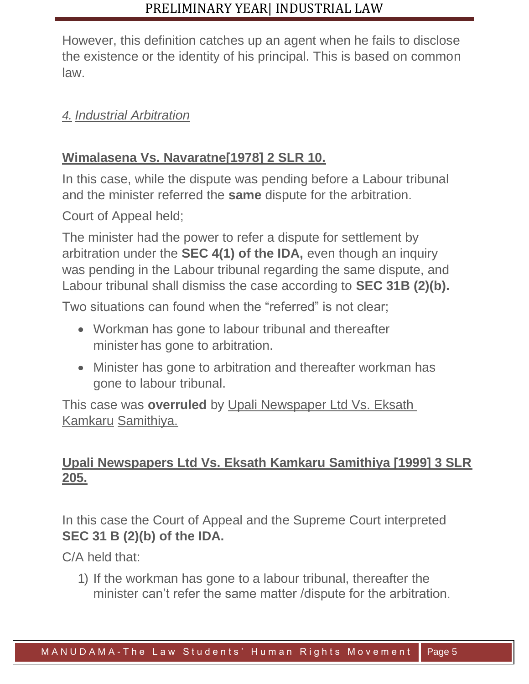However, this definition catches up an agent when he fails to disclose the existence or the identity of his principal. This is based on common law.

#### *4. Industrial Arbitration*

### **Wimalasena Vs. Navaratne[1978] 2 SLR 10.**

In this case, while the dispute was pending before a Labour tribunal and the minister referred the **same** dispute for the arbitration.

Court of Appeal held;

The minister had the power to refer a dispute for settlement by arbitration under the **SEC 4(1) of the IDA,** even though an inquiry was pending in the Labour tribunal regarding the same dispute, and Labour tribunal shall dismiss the case according to **SEC 31B (2)(b).**

Two situations can found when the "referred" is not clear;

- Workman has gone to labour tribunal and thereafter minister has gone to arbitration.
- Minister has gone to arbitration and thereafter workman has gone to labour tribunal.

This case was **overruled** by Upali Newspaper Ltd Vs. Eksath Kamkaru Samithiya.

#### **Upali Newspapers Ltd Vs. Eksath Kamkaru Samithiya [1999] 3 SLR 205.**

In this case the Court of Appeal and the Supreme Court interpreted **SEC 31 B (2)(b) of the IDA.**

C/A held that:

1) If the workman has gone to a labour tribunal, thereafter the minister can't refer the same matter /dispute for the arbitration.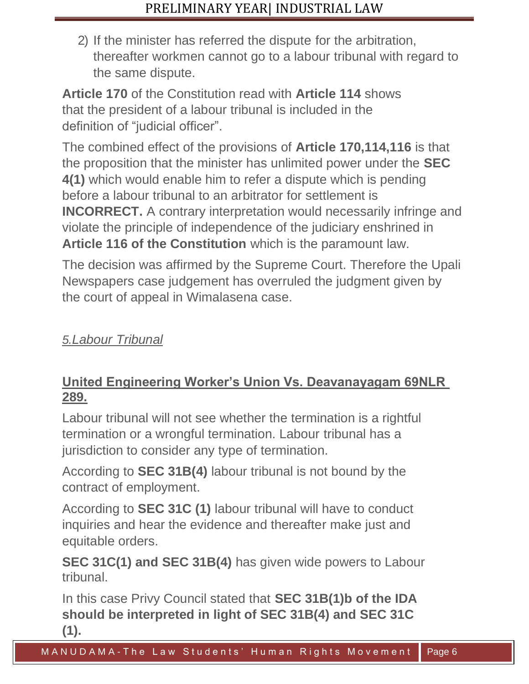2) If the minister has referred the dispute for the arbitration, thereafter workmen cannot go to a labour tribunal with regard to the same dispute.

**Article 170** of the Constitution read with **Article 114** shows that the president of a labour tribunal is included in the definition of "judicial officer".

The combined effect of the provisions of **Article 170,114,116** is that the proposition that the minister has unlimited power under the **SEC 4(1)** which would enable him to refer a dispute which is pending before a labour tribunal to an arbitrator for settlement is **INCORRECT.** A contrary interpretation would necessarily infringe and violate the principle of independence of the judiciary enshrined in **Article 116 of the Constitution** which is the paramount law.

The decision was affirmed by the Supreme Court. Therefore the Upali Newspapers case judgement has overruled the judgment given by the court of appeal in Wimalasena case.

*5.Labour Tribunal*

# **United Engineering Worker's Union Vs. Deavanayagam 69NLR 289.**

Labour tribunal will not see whether the termination is a rightful termination or a wrongful termination. Labour tribunal has a jurisdiction to consider any type of termination.

According to **SEC 31B(4)** labour tribunal is not bound by the contract of employment.

According to **SEC 31C (1)** labour tribunal will have to conduct inquiries and hear the evidence and thereafter make just and equitable orders.

**SEC 31C(1) and SEC 31B(4)** has given wide powers to Labour tribunal.

In this case Privy Council stated that **SEC 31B(1)b of the IDA should be interpreted in light of SEC 31B(4) and SEC 31C (1).**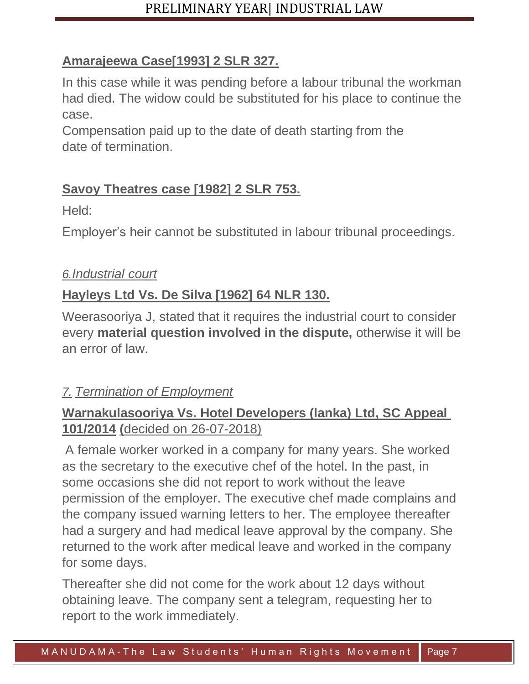# **Amarajeewa Case[1993] 2 SLR 327.**

In this case while it was pending before a labour tribunal the workman had died. The widow could be substituted for his place to continue the case.

Compensation paid up to the date of death starting from the date of termination.

# **Savoy Theatres case [1982] 2 SLR 753.**

Held:

Employer's heir cannot be substituted in labour tribunal proceedings.

# *6.Industrial court*

# **Hayleys Ltd Vs. De Silva [1962] 64 NLR 130.**

Weerasooriya J, stated that it requires the industrial court to consider every **material question involved in the dispute,** otherwise it will be an error of law.

# *7. Termination of Employment*

# **Warnakulasooriya Vs. Hotel Developers (lanka) Ltd, SC Appeal 101/2014 (**decided on 26-07-2018)

A female worker worked in a company for many years. She worked as the secretary to the executive chef of the hotel. In the past, in some occasions she did not report to work without the leave permission of the employer. The executive chef made complains and the company issued warning letters to her. The employee thereafter had a surgery and had medical leave approval by the company. She returned to the work after medical leave and worked in the company for some days.

Thereafter she did not come for the work about 12 days without obtaining leave. The company sent a telegram, requesting her to report to the work immediately.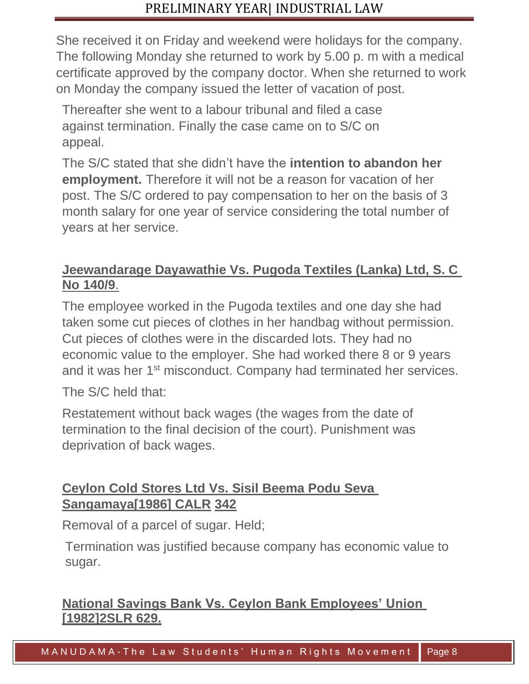She received it on Friday and weekend were holidays for the company. The following Monday she returned to work by 5.00 p. m with a medical certificate approved by the company doctor. When she returned to work on Monday the company issued the letter of vacation of post.

Thereafter she went to a labour tribunal and filed a case against termination. Finally the case came on to S/C on appeal.

The S/C stated that she didn't have the **intention to abandon her employment.** Therefore it will not be a reason for vacation of her post. The S/C ordered to pay compensation to her on the basis of 3 month salary for one year of service considering the total number of years at her service.

### **Jeewandarage Dayawathie Vs. Pugoda Textiles (Lanka) Ltd, S. C No 140/9**.

The employee worked in the Pugoda textiles and one day she had taken some cut pieces of clothes in her handbag without permission. Cut pieces of clothes were in the discarded lots. They had no economic value to the employer. She had worked there 8 or 9 years and it was her 1<sup>st</sup> misconduct. Company had terminated her services.

The S/C held that:

Restatement without back wages (the wages from the date of termination to the final decision of the court). Punishment was deprivation of back wages.

# **Ceylon Cold Stores Ltd Vs. Sisil Beema Podu Seva Sangamaya[1986] CALR 342**

Removal of a parcel of sugar. Held;

Termination was justified because company has economic value to sugar.

# **National Savings Bank Vs. Ceylon Bank Employees' Union [1982]2SLR 629.**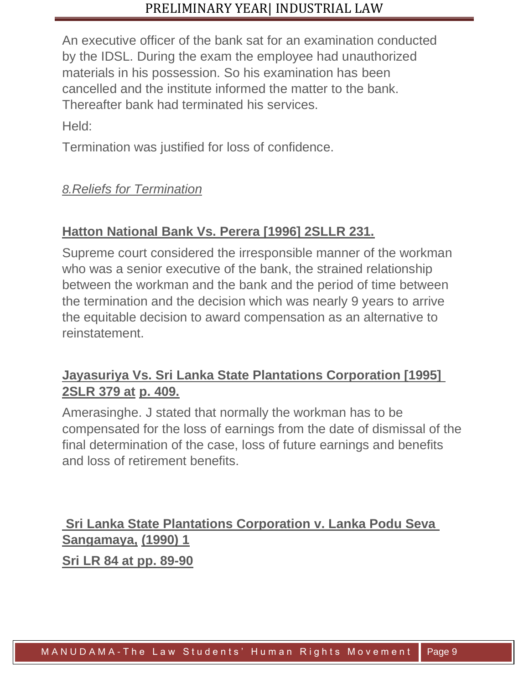An executive officer of the bank sat for an examination conducted by the IDSL. During the exam the employee had unauthorized materials in his possession. So his examination has been cancelled and the institute informed the matter to the bank. Thereafter bank had terminated his services.

Held:

Termination was justified for loss of confidence.

### *8.Reliefs for Termination*

# **Hatton National Bank Vs. Perera [1996] 2SLLR 231.**

Supreme court considered the irresponsible manner of the workman who was a senior executive of the bank, the strained relationship between the workman and the bank and the period of time between the termination and the decision which was nearly 9 years to arrive the equitable decision to award compensation as an alternative to reinstatement.

# **Jayasuriya Vs. Sri Lanka State Plantations Corporation [1995] 2SLR 379 at p. 409.**

Amerasinghe. J stated that normally the workman has to be compensated for the loss of earnings from the date of dismissal of the final determination of the case, loss of future earnings and benefits and loss of retirement benefits.

**Sri Lanka State Plantations Corporation v. Lanka Podu Seva Sangamaya, (1990) 1**

**Sri LR 84 at pp. 89-90**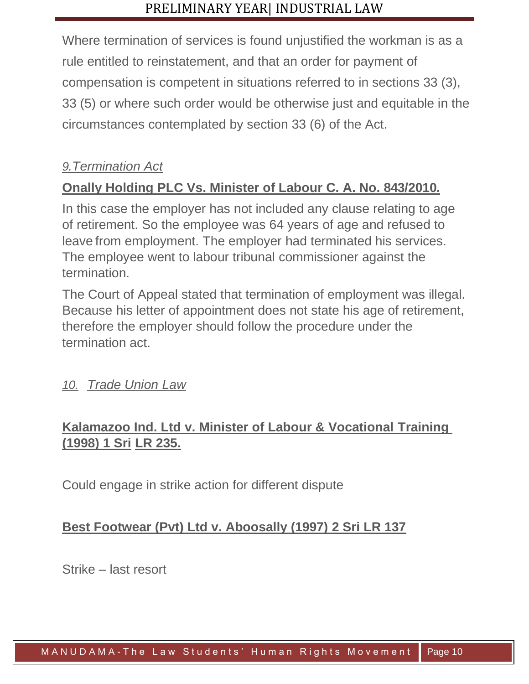Where termination of services is found unjustified the workman is as a rule entitled to reinstatement, and that an order for payment of compensation is competent in situations referred to in sections 33 (3), 33 (5) or where such order would be otherwise just and equitable in the circumstances contemplated by section 33 (6) of the Act.

### *9.Termination Act*

# **Onally Holding PLC Vs. Minister of Labour C. A. No. 843/2010.**

In this case the employer has not included any clause relating to age of retirement. So the employee was 64 years of age and refused to leave from employment. The employer had terminated his services. The employee went to labour tribunal commissioner against the termination.

The Court of Appeal stated that termination of employment was illegal. Because his letter of appointment does not state his age of retirement, therefore the employer should follow the procedure under the termination act.

#### *10. Trade Union Law*

# **Kalamazoo Ind. Ltd v. Minister of Labour & Vocational Training (1998) 1 Sri LR 235.**

Could engage in strike action for different dispute

#### **Best Footwear (Pvt) Ltd v. Aboosally (1997) 2 Sri LR 137**

Strike – last resort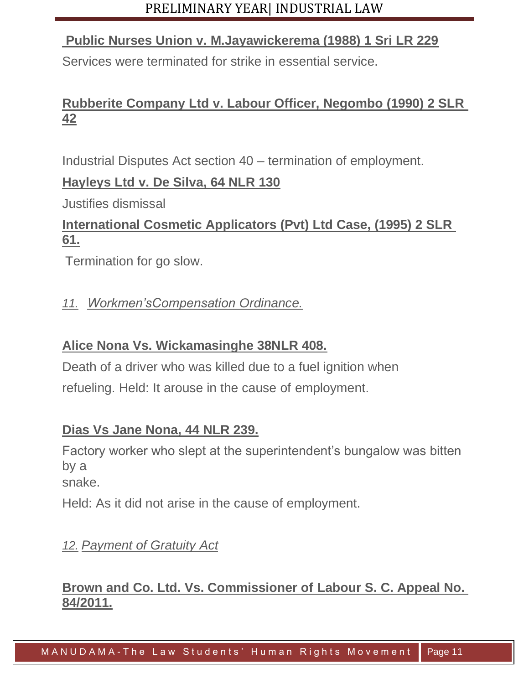#### **Public Nurses Union v. M.Jayawickerema (1988) 1 Sri LR 229**

Services were terminated for strike in essential service.

# **Rubberite Company Ltd v. Labour Officer, Negombo (1990) 2 SLR 42**

Industrial Disputes Act section 40 – termination of employment.

#### **Hayleys Ltd v. De Silva, 64 NLR 130**

Justifies dismissal

# **International Cosmetic Applicators (Pvt) Ltd Case, (1995) 2 SLR 61.**

Termination for go slow.

#### *11. Workmen'sCompensation Ordinance.*

#### **Alice Nona Vs. Wickamasinghe 38NLR 408.**

Death of a driver who was killed due to a fuel ignition when refueling. Held: It arouse in the cause of employment.

#### **Dias Vs Jane Nona, 44 NLR 239.**

Factory worker who slept at the superintendent's bungalow was bitten by a

snake.

Held: As it did not arise in the cause of employment.

# *12. Payment of Gratuity Act*

#### **Brown and Co. Ltd. Vs. Commissioner of Labour S. C. Appeal No. 84/2011.**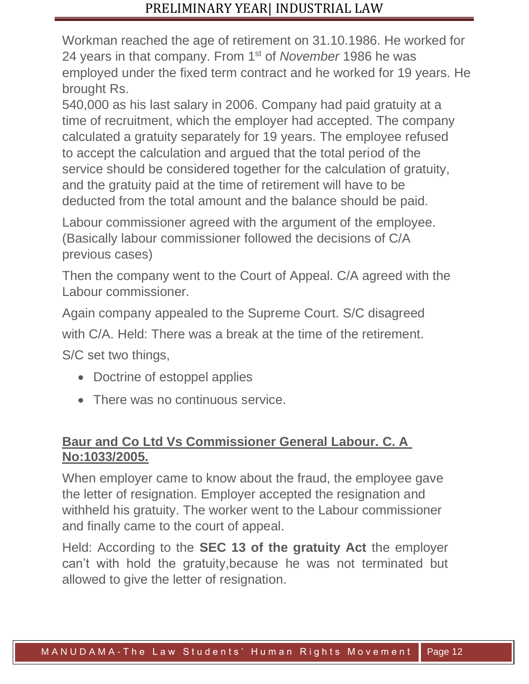Workman reached the age of retirement on 31.10.1986. He worked for 24 years in that company. From 1st of *November* 1986 he was employed under the fixed term contract and he worked for 19 years. He brought Rs.

540,000 as his last salary in 2006. Company had paid gratuity at a time of recruitment, which the employer had accepted. The company calculated a gratuity separately for 19 years. The employee refused to accept the calculation and argued that the total period of the service should be considered together for the calculation of gratuity, and the gratuity paid at the time of retirement will have to be deducted from the total amount and the balance should be paid.

Labour commissioner agreed with the argument of the employee. (Basically labour commissioner followed the decisions of C/A previous cases)

Then the company went to the Court of Appeal. C/A agreed with the Labour commissioner.

Again company appealed to the Supreme Court. S/C disagreed

with C/A. Held: There was a break at the time of the retirement.

S/C set two things,

- Doctrine of estoppel applies
- There was no continuous service.

### **Baur and Co Ltd Vs Commissioner General Labour. C. A No:1033/2005.**

When employer came to know about the fraud, the employee gave the letter of resignation. Employer accepted the resignation and withheld his gratuity. The worker went to the Labour commissioner and finally came to the court of appeal.

Held: According to the **SEC 13 of the gratuity Act** the employer can't with hold the gratuity,because he was not terminated but allowed to give the letter of resignation.